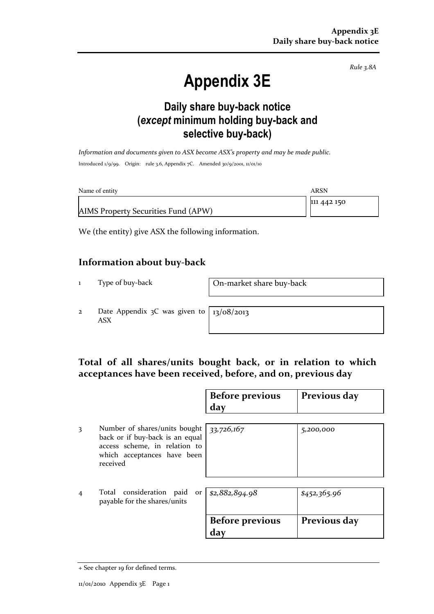Rule 3.8A

# Appendix 3E

### Daily share buy-back notice (except minimum holding buy-back and selective buy-back)

Information and documents given to ASX become ASX's property and may be made public. Introduced 1/9/99. Origin: rule 3.6, Appendix 7C. Amended 30/9/2001, 11/01/10

| Name of entity                      | ARSN        |
|-------------------------------------|-------------|
|                                     | 111 442 150 |
| AIMS Property Securities Fund (APW) |             |

We (the entity) give ASX the following information.

#### Information about buy-back

1 Type of buy-back On-market share buy-back

2 Date Appendix 3C was given to ASX

13/08/2013

#### Total of all shares/units bought back, or in relation to which acceptances have been received, before, and on, previous day

|   |                                                                                                                                              | <b>Before previous</b><br>day | Previous day |
|---|----------------------------------------------------------------------------------------------------------------------------------------------|-------------------------------|--------------|
| 3 | Number of shares/units bought<br>back or if buy-back is an equal<br>access scheme, in relation to<br>which acceptances have been<br>received | 33,726,167                    | 5,200,000    |
| 4 | Total consideration paid<br>or <sub>1</sub><br>payable for the shares/units                                                                  | \$2,882,894.98                | \$452,365.96 |
|   |                                                                                                                                              | <b>Before previous</b><br>day | Previous day |

<sup>+</sup> See chapter 19 for defined terms.